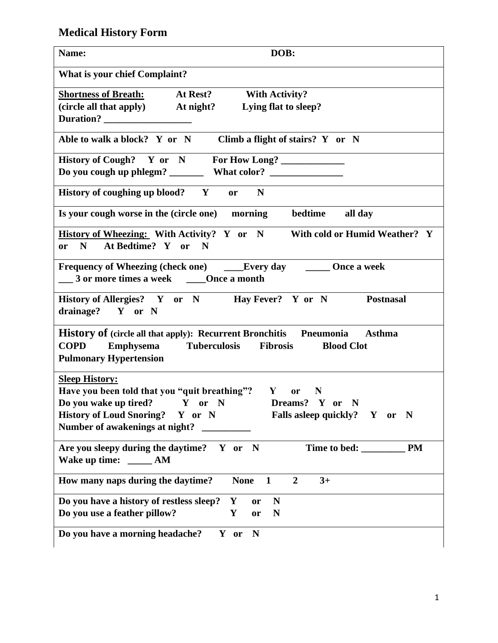## **Medical History Form**

| DOB:<br>Name:                                                                                                                                                                                                                                                                |
|------------------------------------------------------------------------------------------------------------------------------------------------------------------------------------------------------------------------------------------------------------------------------|
| <b>What is your chief Complaint?</b>                                                                                                                                                                                                                                         |
| <b>Shortness of Breath:</b><br>At Rest?<br><b>With Activity?</b><br>(circle all that apply) At night? Lying flat to sleep?<br>Duration?                                                                                                                                      |
| Able to walk a block? Y or N<br>Climb a flight of stairs? Y or N                                                                                                                                                                                                             |
| History of Cough? Y or N For How Long?<br>What color?<br>Do you cough up phlegm? ______                                                                                                                                                                                      |
| History of coughing up blood? Y<br>$\mathbf N$<br><b>or</b>                                                                                                                                                                                                                  |
| Is your cough worse in the (circle one) morning<br>bedtime<br>all day                                                                                                                                                                                                        |
| <b>History of Wheezing:</b> With Activity? Y or N With cold or Humid Weather? Y<br>At Bedtime? Y or N<br>N<br><b>or</b>                                                                                                                                                      |
| Frequency of Wheezing (check one) ______Every day ________ Once a week<br>3 or more times a week _______Once a month                                                                                                                                                         |
| History of Allergies? Y or N Hay Fever? Y or N<br><b>Postnasal</b><br>drainage? Y or N                                                                                                                                                                                       |
| <b>History of (circle all that apply): Recurrent Bronchitis Pneumonia</b><br><b>Asthma</b><br><b>Tuberculosis</b><br><b>Fibrosis</b><br><b>COPD</b><br><b>Emphysema</b><br><b>Blood Clot</b><br><b>Pulmonary Hypertension</b>                                                |
| <b>Sleep History:</b><br>Have you been told that you "quit breathing"? Y<br><b>or</b><br>$\mathbb{N}$<br>Do you wake up tired?<br>Y or N<br>Dreams? Y or N<br>History of Loud Snoring? Y or N<br>Falls as eep quickly? Y<br>N<br><b>or</b><br>Number of awakenings at night? |
| <b>PM</b><br>Time to bed:<br>Are you sleepy during the daytime? $Y$ or N<br>Wake up time: _______ AM                                                                                                                                                                         |
| How many naps during the daytime?<br>$\overline{2}$<br>$3+$<br><b>None</b><br>$\mathbf{1}$                                                                                                                                                                                   |
| Do you have a history of restless sleep?<br>N<br>Y<br>or<br>Do you use a feather pillow?<br>Y<br>N<br>or                                                                                                                                                                     |
| Do you have a morning headache?<br>Y or<br>N                                                                                                                                                                                                                                 |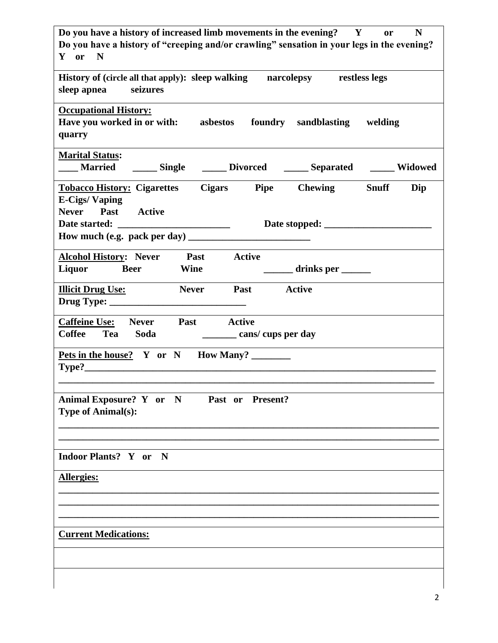| Do you have a history of increased limb movements in the evening? Y<br>$\mathbf N$<br>$\mathbf{or}$<br>Do you have a history of "creeping and/or crawling" sensation in your legs in the evening?<br>Y or N |
|-------------------------------------------------------------------------------------------------------------------------------------------------------------------------------------------------------------|
| History of (circle all that apply): sleep walking narcolepsy restless legs<br>seizures<br>sleep apnea                                                                                                       |
| <b>Occupational History:</b><br>Have you worked in or with: asbestos foundry sandblasting welding<br>quarry                                                                                                 |
| <b>Marital Status:</b><br><b>Married</b><br>______ Single _______ Divorced _______ Separated _______ Widowed                                                                                                |
| <b>Tobacco History: Cigarettes Cigars Pipe Chewing</b><br><b>Snuff</b><br>Dip<br><b>E-Cigs/Vaping</b><br>Never Past Active<br>Date started:<br>How much (e.g. pack per day) $\frac{1}{2}$                   |
| <b>Alcohol History: Never</b><br><b>Past</b><br><b>Active</b><br>Liquor Beer<br><b>Wine</b><br><u>_______</u> drinks per ______                                                                             |
| <b>Illicit Drug Use:</b><br><b>Never</b><br><b>Past</b> Active                                                                                                                                              |
| Caffeine Use: Never Past Active<br>Coffee Tea Soda<br>cans/cups per day                                                                                                                                     |
| Pets in the house? Y or N How Many?<br>Type?                                                                                                                                                                |
| Animal Exposure? Y or N<br>Past or Present?<br><b>Type of Animal(s):</b>                                                                                                                                    |
| Indoor Plants? Y or N                                                                                                                                                                                       |
| <b>Allergies:</b>                                                                                                                                                                                           |
| <b>Current Medications:</b>                                                                                                                                                                                 |
|                                                                                                                                                                                                             |

 $\overline{\phantom{a}}$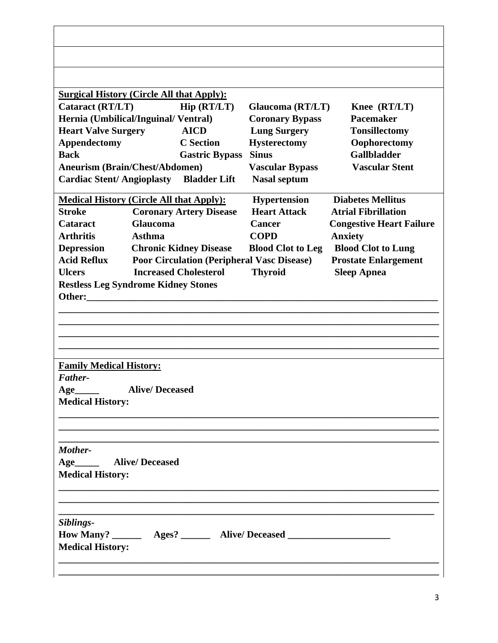| <b>Surgical History (Circle All that Apply):</b> |                       |                                                   |                                                                                   |                                 |
|--------------------------------------------------|-----------------------|---------------------------------------------------|-----------------------------------------------------------------------------------|---------------------------------|
| <b>Cataract (RT/LT)</b>                          |                       | Hip (RT/LT)                                       | Glaucoma (RT/LT)                                                                  | Knee (RT/LT)                    |
| Hernia (Umbilical/Inguinal/Ventral)              |                       |                                                   | <b>Coronary Bypass</b>                                                            | Pacemaker                       |
| <b>Heart Valve Surgery</b>                       |                       | <b>AICD</b>                                       | <b>Lung Surgery</b>                                                               | <b>Tonsillectomy</b>            |
| Appendectomy                                     |                       | <b>C</b> Section                                  | <b>Hysterectomy</b>                                                               | Oophorectomy                    |
| <b>Back</b>                                      |                       | <b>Gastric Bypass</b>                             | <b>Sinus</b>                                                                      | <b>Gallbladder</b>              |
| <b>Aneurism (Brain/Chest/Abdomen)</b>            |                       |                                                   | <b>Vascular Bypass</b>                                                            | <b>Vascular Stent</b>           |
| <b>Cardiac Stent/Angioplasty</b>                 |                       | <b>Bladder Lift</b>                               | <b>Nasal septum</b>                                                               |                                 |
| <b>Medical History (Circle All that Apply):</b>  |                       |                                                   | <b>Hypertension</b>                                                               | <b>Diabetes Mellitus</b>        |
| <b>Stroke</b>                                    |                       | <b>Coronary Artery Disease</b>                    | <b>Heart Attack</b>                                                               | <b>Atrial Fibrillation</b>      |
| <b>Cataract</b>                                  | <b>Glaucoma</b>       |                                                   | <b>Cancer</b>                                                                     | <b>Congestive Heart Failure</b> |
| <b>Arthritis</b>                                 | Asthma                |                                                   | <b>COPD</b>                                                                       | <b>Anxiety</b>                  |
| <b>Depression</b>                                |                       | <b>Chronic Kidney Disease</b>                     | <b>Blood Clot to Leg</b>                                                          | <b>Blood Clot to Lung</b>       |
| <b>Acid Reflux</b>                               |                       | <b>Poor Circulation (Peripheral Vasc Disease)</b> |                                                                                   | <b>Prostate Enlargement</b>     |
| <b>Ulcers</b>                                    |                       | <b>Increased Cholesterol</b>                      | <b>Thyroid</b>                                                                    | <b>Sleep Apnea</b>              |
| <b>Restless Leg Syndrome Kidney Stones</b>       |                       |                                                   |                                                                                   |                                 |
| Other:                                           |                       |                                                   |                                                                                   |                                 |
|                                                  |                       |                                                   |                                                                                   |                                 |
|                                                  |                       |                                                   |                                                                                   |                                 |
|                                                  |                       |                                                   |                                                                                   |                                 |
|                                                  |                       |                                                   |                                                                                   |                                 |
| <b>Family Medical History:</b>                   |                       |                                                   |                                                                                   |                                 |
| Father-                                          |                       |                                                   |                                                                                   |                                 |
| Age                                              | <b>Alive/Deceased</b> |                                                   |                                                                                   |                                 |
| <b>Medical History:</b>                          |                       |                                                   |                                                                                   |                                 |
|                                                  |                       |                                                   |                                                                                   |                                 |
|                                                  |                       |                                                   |                                                                                   |                                 |
|                                                  |                       |                                                   |                                                                                   |                                 |
| Mother-                                          |                       |                                                   |                                                                                   |                                 |
| Age                                              | <b>Alive/Deceased</b> |                                                   |                                                                                   |                                 |
| <b>Medical History:</b>                          |                       |                                                   |                                                                                   |                                 |
|                                                  |                       |                                                   |                                                                                   |                                 |
|                                                  |                       |                                                   |                                                                                   |                                 |
|                                                  |                       |                                                   |                                                                                   |                                 |
| Siblings-                                        |                       |                                                   |                                                                                   |                                 |
|                                                  |                       |                                                   | How Many? ________ Ages? ________ Alive/ Deceased _______________________________ |                                 |
| <b>Medical History:</b>                          |                       |                                                   |                                                                                   |                                 |
|                                                  |                       |                                                   |                                                                                   |                                 |
|                                                  |                       |                                                   |                                                                                   |                                 |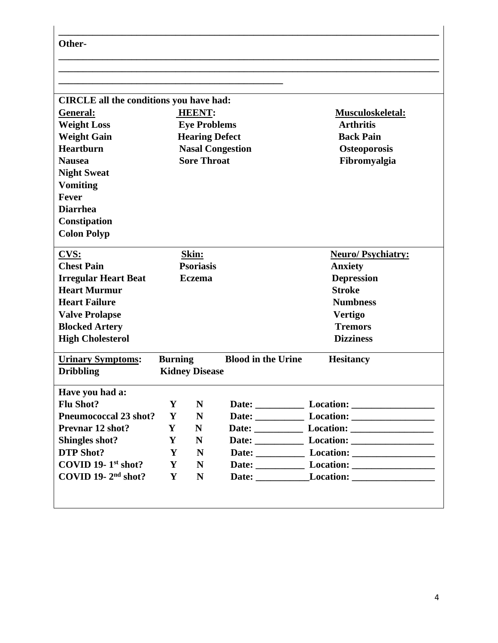| Other-                                             |                |                           |                           |                                    |
|----------------------------------------------------|----------------|---------------------------|---------------------------|------------------------------------|
|                                                    |                |                           |                           |                                    |
| <b>CIRCLE</b> all the conditions you have had:     |                |                           |                           |                                    |
| General:                                           |                | <b>HEENT:</b>             |                           | Musculoskeletal:                   |
| <b>Weight Loss</b>                                 |                | <b>Eye Problems</b>       |                           | <b>Arthritis</b>                   |
| <b>Weight Gain</b>                                 |                | <b>Hearing Defect</b>     |                           | <b>Back Pain</b>                   |
| <b>Heartburn</b>                                   |                |                           | <b>Nasal Congestion</b>   | <b>Osteoporosis</b>                |
| <b>Nausea</b>                                      |                | <b>Sore Throat</b>        |                           | Fibromyalgia                       |
| <b>Night Sweat</b>                                 |                |                           |                           |                                    |
| <b>Vomiting</b>                                    |                |                           |                           |                                    |
| <b>Fever</b>                                       |                |                           |                           |                                    |
| <b>Diarrhea</b>                                    |                |                           |                           |                                    |
| Constipation                                       |                |                           |                           |                                    |
| <b>Colon Polyp</b>                                 |                |                           |                           |                                    |
|                                                    |                |                           |                           |                                    |
| CVS:<br><b>Chest Pain</b>                          |                | Skin:<br><b>Psoriasis</b> |                           | <b>Neuro/Psychiatry:</b>           |
|                                                    |                | <b>Eczema</b>             |                           | <b>Anxiety</b>                     |
| <b>Irregular Heart Beat</b><br><b>Heart Murmur</b> |                |                           |                           | <b>Depression</b><br><b>Stroke</b> |
| <b>Heart Failure</b>                               |                |                           |                           | <b>Numbness</b>                    |
| <b>Valve Prolapse</b>                              |                |                           |                           | <b>Vertigo</b>                     |
| <b>Blocked Artery</b>                              |                |                           |                           | <b>Tremors</b>                     |
| <b>High Cholesterol</b>                            |                |                           |                           | <b>Dizziness</b>                   |
|                                                    |                |                           |                           |                                    |
| <b>Urinary Symptoms:</b>                           | <b>Burning</b> |                           | <b>Blood in the Urine</b> | <b>Hesitancy</b>                   |
| <b>Dribbling</b>                                   |                | <b>Kidney Disease</b>     |                           |                                    |
| Have you had a:                                    |                |                           |                           |                                    |
| <b>Flu Shot?</b>                                   | Y              | N                         |                           |                                    |
| <b>Pneumococcal 23 shot?</b>                       | Y              | N                         |                           |                                    |
| <b>Prevnar 12 shot?</b>                            | Y              | N                         |                           |                                    |
| Shingles shot?                                     | Y              | N                         |                           |                                    |
| <b>DTP Shot?</b>                                   | Y              | N                         |                           |                                    |
| COVID 19- $1st shot?$                              | Y              | N                         |                           |                                    |
| COVID 19- $2nd$ shot?                              | Y              | N                         |                           | Date: Location: Location:          |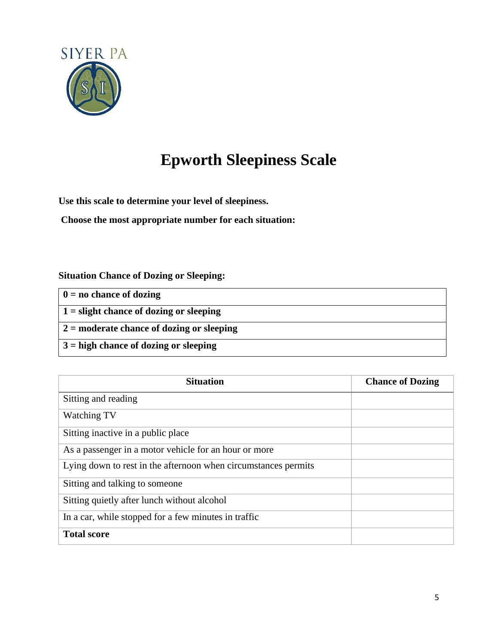

# **Epworth Sleepiness Scale**

**Use this scale to determine your level of sleepiness.**

**Choose the most appropriate number for each situation:**

### **Situation Chance of Dozing or Sleeping:**

| $\vert 0 \vert$ = no chance of dozing           |
|-------------------------------------------------|
| $\vert$ 1 = slight chance of dozing or sleeping |
| $2 =$ moderate chance of dozing or sleeping     |
| $\vert 3 =$ high chance of dozing or sleeping   |

| <b>Situation</b>                                               | <b>Chance of Dozing</b> |
|----------------------------------------------------------------|-------------------------|
| Sitting and reading                                            |                         |
| Watching TV                                                    |                         |
| Sitting inactive in a public place                             |                         |
| As a passenger in a motor vehicle for an hour or more          |                         |
| Lying down to rest in the afternoon when circumstances permits |                         |
| Sitting and talking to some one                                |                         |
| Sitting quietly after lunch without alcohol                    |                         |
| In a car, while stopped for a few minutes in traffic           |                         |
| <b>Total score</b>                                             |                         |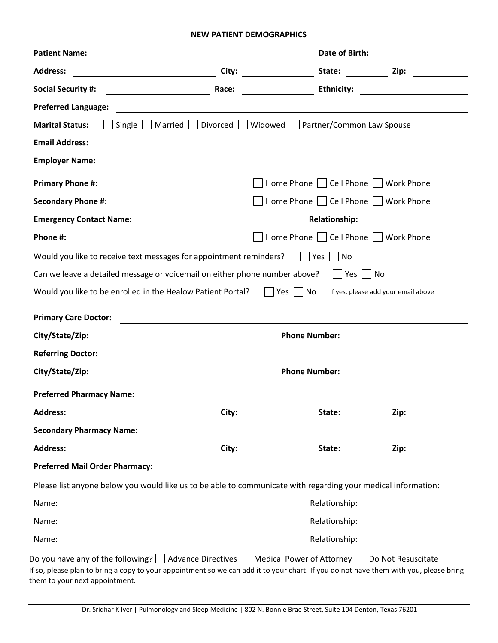#### **NEW PATIENT DEMOGRAPHICS**

| <b>Patient Name:</b>                                                                                                                                                       |                                                                                                                                                                                                                               | Date of Birth:                       |                                                                                                                                                                                                                               |
|----------------------------------------------------------------------------------------------------------------------------------------------------------------------------|-------------------------------------------------------------------------------------------------------------------------------------------------------------------------------------------------------------------------------|--------------------------------------|-------------------------------------------------------------------------------------------------------------------------------------------------------------------------------------------------------------------------------|
| <b>Address:</b>                                                                                                                                                            |                                                                                                                                                                                                                               |                                      |                                                                                                                                                                                                                               |
| <b>Social Security #:</b>                                                                                                                                                  | Race:                                                                                                                                                                                                                         | <b>Ethnicity:</b>                    | the control of the control of the control of the control of the control of the control of the control of the control of the control of the control of the control of the control of the control of the control of the control |
| <b>Preferred Language:</b>                                                                                                                                                 |                                                                                                                                                                                                                               |                                      |                                                                                                                                                                                                                               |
| <b>Marital Status:</b>                                                                                                                                                     | Single   Married   Divorced   Widowed   Partner/Common Law Spouse                                                                                                                                                             |                                      |                                                                                                                                                                                                                               |
| <b>Email Address:</b>                                                                                                                                                      |                                                                                                                                                                                                                               |                                      |                                                                                                                                                                                                                               |
| <b>Employer Name:</b>                                                                                                                                                      | and the control of the control of the control of the control of the control of the control of the control of the                                                                                                              |                                      |                                                                                                                                                                                                                               |
| <b>Primary Phone #:</b>                                                                                                                                                    |                                                                                                                                                                                                                               | Home Phone     Cell Phone            | <b>Work Phone</b>                                                                                                                                                                                                             |
| <b>Secondary Phone #:</b>                                                                                                                                                  |                                                                                                                                                                                                                               | Home Phone   Cell Phone   Work Phone |                                                                                                                                                                                                                               |
|                                                                                                                                                                            |                                                                                                                                                                                                                               | <b>Relationship:</b>                 | <u> 1980 - Jan Salaman Salaman (</u>                                                                                                                                                                                          |
| Phone #:                                                                                                                                                                   | <u> 1989 - Johann Barn, fransk politik (d. 1989)</u>                                                                                                                                                                          | Home Phone   Cell Phone   Work Phone |                                                                                                                                                                                                                               |
|                                                                                                                                                                            |                                                                                                                                                                                                                               | Yes    No                            |                                                                                                                                                                                                                               |
| Would you like to receive text messages for appointment reminders?                                                                                                         |                                                                                                                                                                                                                               |                                      |                                                                                                                                                                                                                               |
| Can we leave a detailed message or voicemail on either phone number above? $\vert$   Yes     No                                                                            |                                                                                                                                                                                                                               |                                      |                                                                                                                                                                                                                               |
| Would you like to be enrolled in the Healow Patient Portal?                                                                                                                |                                                                                                                                                                                                                               | Yes     No                           | If yes, please add your email above                                                                                                                                                                                           |
|                                                                                                                                                                            |                                                                                                                                                                                                                               |                                      |                                                                                                                                                                                                                               |
|                                                                                                                                                                            | <u> 1980 - Johann Barbara, martxa alemaniar argametra (h. 1980).</u>                                                                                                                                                          |                                      |                                                                                                                                                                                                                               |
|                                                                                                                                                                            | <u> 1989 - Johann Stoff, deutscher Stoffen und der Stoffen und der Stoffen und der Stoffen und der Stoffen und der</u>                                                                                                        | <b>Phone Number:</b>                 | <u> 1980 - Johann Stoff, fransk politik (d. 1980)</u>                                                                                                                                                                         |
|                                                                                                                                                                            | <u> Alexandria de la contrada de la contrada de la contrada de la contrada de la contrada de la contrada de la c</u>                                                                                                          |                                      |                                                                                                                                                                                                                               |
|                                                                                                                                                                            | <u> 2008 - Andrea Andrew Maria (h. 1878).</u>                                                                                                                                                                                 | <b>Phone Number:</b>                 | <u> 1989 - Jan Sterlinger, skriuwer fan it ferstjer fan it ferstjer fan it ferstjer fan it ferstjer fan it ferstj</u>                                                                                                         |
|                                                                                                                                                                            | the control of the control of the control of the control of the control of the control of the control of the control of the control of the control of the control of the control of the control of the control of the control |                                      |                                                                                                                                                                                                                               |
|                                                                                                                                                                            | City:                                                                                                                                                                                                                         | State:                               | Zip:                                                                                                                                                                                                                          |
|                                                                                                                                                                            |                                                                                                                                                                                                                               |                                      |                                                                                                                                                                                                                               |
| City/State/Zip:<br><b>Referring Doctor:</b><br>City/State/Zip:<br><b>Preferred Pharmacy Name:</b><br><b>Address:</b><br><b>Secondary Pharmacy Name:</b><br><b>Address:</b> | City:                                                                                                                                                                                                                         | State:                               | Zip:                                                                                                                                                                                                                          |
| <b>Preferred Mail Order Pharmacy:</b>                                                                                                                                      |                                                                                                                                                                                                                               |                                      |                                                                                                                                                                                                                               |
|                                                                                                                                                                            |                                                                                                                                                                                                                               |                                      |                                                                                                                                                                                                                               |
| Please list anyone below you would like us to be able to communicate with regarding your medical information:<br>Name:                                                     |                                                                                                                                                                                                                               | Relationship:                        |                                                                                                                                                                                                                               |
| <b>Primary Care Doctor:</b><br>Name:                                                                                                                                       |                                                                                                                                                                                                                               | Relationship:                        |                                                                                                                                                                                                                               |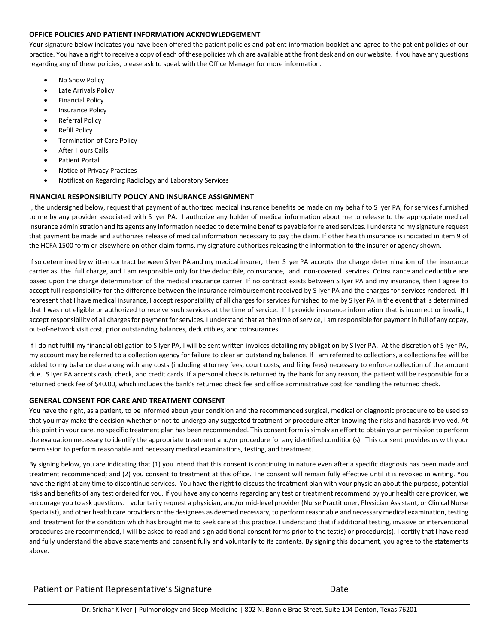#### **OFFICE POLICIES AND PATIENT INFORMATION ACKNOWLEDGEMENT**

Your signature below indicates you have been offered the patient policies and patient information booklet and agree to the patient policies of our practice. You have a right to receive a copy of each of these policies which are available at the front desk and on our website. If you have any questions regarding any of these policies, please ask to speak with the Office Manager for more information.

- No Show Policy
- **Late Arrivals Policy**
- Financial Policy
- Insurance Policy
- Referral Policy
- **Refill Policy**
- Termination of Care Policy
- After Hours Calls
- Patient Portal
- Notice of Privacy Practices
- Notification Regarding Radiology and Laboratory Services

#### **FINANCIAL RESPONSIBILITY POLICY AND INSURANCE ASSIGNMENT**

I, the undersigned below, request that payment of authorized medical insurance benefits be made on my behalf to S Iyer PA, for services furnished to me by any provider associated with S Iyer PA. I authorize any holder of medical information about me to release to the appropriate medical insurance administration and its agents any information needed to determine benefits payable for related services. I understand my signature request that payment be made and authorizes release of medical information necessary to pay the claim. If other health insurance is indicated in item 9 of the HCFA 1500 form or elsewhere on other claim forms, my signature authorizes releasing the information to the insurer or agency shown.

If so determined by written contract between S Iyer PA and my medical insurer, then S Iyer PA accepts the charge determination of the insurance carrier as the full charge, and I am responsible only for the deductible, coinsurance, and non-covered services. Coinsurance and deductible are based upon the charge determination of the medical insurance carrier. If no contract exists between S Iyer PA and my insurance, then I agree to accept full responsibility for the difference between the insurance reimbursement received by S Iyer PA and the charges for services rendered. If I represent that I have medical insurance, I accept responsibility of all charges for services furnished to me by S Iyer PA in the event that is determined that I was not eligible or authorized to receive such services at the time of service. If I provide insurance information that is incorrect or invalid, I accept responsibility of all charges for payment for services. I understand that at the time of service, I am responsible for payment in full of any copay, out‐of‐network visit cost, prior outstanding balances, deductibles, and coinsurances.

If I do not fulfill my financial obligation to S Iyer PA, I will be sent written invoices detailing my obligation by S Iyer PA. At the discretion of S Iyer PA, my account may be referred to a collection agency for failure to clear an outstanding balance. If I am referred to collections, a collections fee will be added to my balance due along with any costs (including attorney fees, court costs, and filing fees) necessary to enforce collection of the amount due. S Iyer PA accepts cash, check, and credit cards. If a personal check is returned by the bank for any reason, the patient will be responsible for a returned check fee of \$40.00, which includes the bank's returned check fee and office administrative cost for handling the returned check.

#### **GENERAL CONSENT FOR CARE AND TREATMENT CONSENT**

You have the right, as a patient, to be informed about your condition and the recommended surgical, medical or diagnostic procedure to be used so that you may make the decision whether or not to undergo any suggested treatment or procedure after knowing the risks and hazards involved. At this point in your care, no specific treatment plan has been recommended. This consent form is simply an effort to obtain your permission to perform the evaluation necessary to identify the appropriate treatment and/or procedure for any identified condition(s). This consent provides us with your permission to perform reasonable and necessary medical examinations, testing, and treatment.

By signing below, you are indicating that (1) you intend that this consent is continuing in nature even after a specific diagnosis has been made and treatment recommended; and (2) you consent to treatment at this office. The consent will remain fully effective until it is revoked in writing. You have the right at any time to discontinue services. You have the right to discuss the treatment plan with your physician about the purpose, potential risks and benefits of any test ordered for you. If you have any concerns regarding any test or treatment recommend by your health care provider, we encourage you to ask questions. I voluntarily request a physician, and/or mid-level provider (Nurse Practitioner, Physician Assistant, or Clinical Nurse Specialist), and other health care providers or the designees as deemed necessary, to perform reasonable and necessary medical examination, testing and treatment for the condition which has brought me to seek care at this practice. I understand that if additional testing, invasive or interventional procedures are recommended, I will be asked to read and sign additional consent forms prior to the test(s) or procedure(s). I certify that I have read and fully understand the above statements and consent fully and voluntarily to its contents. By signing this document, you agree to the statements above.

Patient or Patient Representative's Signature Theorem Communisty Content of Date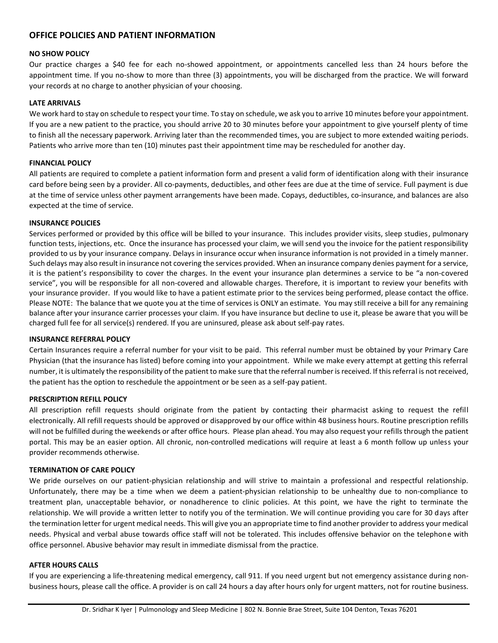#### **OFFICE POLICIES AND PATIENT INFORMATION**

#### **NO SHOW POLICY**

Our practice charges a \$40 fee for each no-showed appointment, or appointments cancelled less than 24 hours before the appointment time. If you no-show to more than three (3) appointments, you will be discharged from the practice. We will forward your records at no charge to another physician of your choosing.

#### **LATE ARRIVALS**

We work hard to stay on schedule to respect your time. To stay on schedule, we ask you to arrive 10 minutes before your appointment. If you are a new patient to the practice, you should arrive 20 to 30 minutes before your appointment to give yourself plenty of time to finish all the necessary paperwork. Arriving later than the recommended times, you are subject to more extended waiting periods. Patients who arrive more than ten (10) minutes past their appointment time may be rescheduled for another day.

#### **FINANCIAL POLICY**

All patients are required to complete a patient information form and present a valid form of identification along with their insurance card before being seen by a provider. All co-payments, deductibles, and other fees are due at the time of service. Full payment is due at the time of service unless other payment arrangements have been made. Copays, deductibles, co-insurance, and balances are also expected at the time of service.

#### **INSURANCE POLICIES**

Services performed or provided by this office will be billed to your insurance. This includes provider visits, sleep studies, pulmonary function tests, injections, etc. Once the insurance has processed your claim, we will send you the invoice for the patient responsibility provided to us by your insurance company. Delays in insurance occur when insurance information is not provided in a timely manner. Such delays may also result in insurance not covering the services provided. When an insurance company denies payment for a service, it is the patient's responsibility to cover the charges. In the event your insurance plan determines a service to be "a non‐covered service", you will be responsible for all non-covered and allowable charges. Therefore, it is important to review your benefits with your insurance provider. If you would like to have a patient estimate prior to the services being performed, please contact the office. Please NOTE: The balance that we quote you at the time of services is ONLY an estimate. You may still receive a bill for any remaining balance after your insurance carrier processes your claim. If you have insurance but decline to use it, please be aware that you will be charged full fee for all service(s) rendered. If you are uninsured, please ask about self-pay rates.

#### **INSURANCE REFERRAL POLICY**

Certain Insurances require a referral number for your visit to be paid. This referral number must be obtained by your Primary Care Physician (that the insurance has listed) before coming into your appointment. While we make every attempt at getting this referral number, it is ultimately the responsibility of the patient to make sure that the referral number is received. If this referral is not received, the patient has the option to reschedule the appointment or be seen as a self-pay patient.

#### **PRESCRIPTION REFILL POLICY**

All prescription refill requests should originate from the patient by contacting their pharmacist asking to request the refill electronically. All refill requests should be approved or disapproved by our office within 48 business hours. Routine prescription refills will not be fulfilled during the weekends or after office hours. Please plan ahead. You may also request your refills through the patient portal. This may be an easier option. All chronic, non-controlled medications will require at least a 6 month follow up unless your provider recommends otherwise.

#### **TERMINATION OF CARE POLICY**

We pride ourselves on our patient‐physician relationship and will strive to maintain a professional and respectful relationship. Unfortunately, there may be a time when we deem a patient‐physician relationship to be unhealthy due to non‐compliance to treatment plan, unacceptable behavior, or nonadherence to clinic policies. At this point, we have the right to terminate the relationship. We will provide a written letter to notify you of the termination. We will continue providing you care for 30 days after the termination letter for urgent medical needs. This will give you an appropriate time to find another provider to address your medical needs. Physical and verbal abuse towards office staff will not be tolerated. This includes offensive behavior on the telephone with office personnel. Abusive behavior may result in immediate dismissal from the practice.

#### **AFTER HOURS CALLS**

If you are experiencing a life-threatening medical emergency, call 911. If you need urgent but not emergency assistance during nonbusiness hours, please call the office. A provider is on call 24 hours a day after hours only for urgent matters, not for routine business.